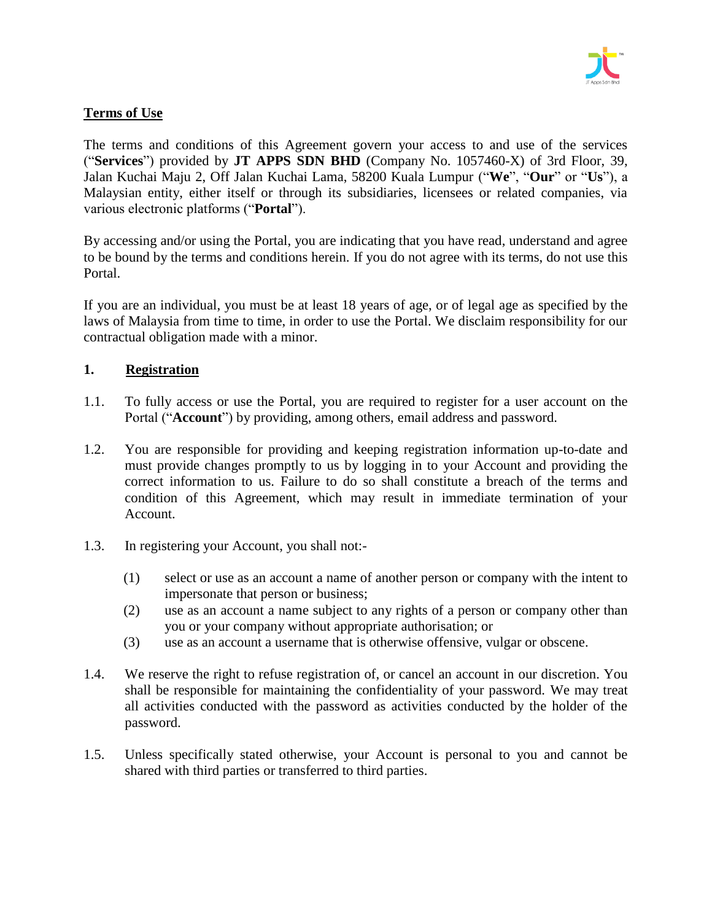

# **Terms of Use**

The terms and conditions of this Agreement govern your access to and use of the services ("**Services**") provided by **JT APPS SDN BHD** (Company No. 1057460-X) of 3rd Floor, 39, Jalan Kuchai Maju 2, Off Jalan Kuchai Lama, 58200 Kuala Lumpur ("**We**", "**Our**" or "**Us**"), a Malaysian entity, either itself or through its subsidiaries, licensees or related companies, via various electronic platforms ("**Portal**").

By accessing and/or using the Portal, you are indicating that you have read, understand and agree to be bound by the terms and conditions herein. If you do not agree with its terms, do not use this Portal.

If you are an individual, you must be at least 18 years of age, or of legal age as specified by the laws of Malaysia from time to time, in order to use the Portal. We disclaim responsibility for our contractual obligation made with a minor.

# **1. Registration**

- 1.1. To fully access or use the Portal, you are required to register for a user account on the Portal ("**Account**") by providing, among others, email address and password.
- 1.2. You are responsible for providing and keeping registration information up-to-date and must provide changes promptly to us by logging in to your Account and providing the correct information to us. Failure to do so shall constitute a breach of the terms and condition of this Agreement, which may result in immediate termination of your Account.
- 1.3. In registering your Account, you shall not:-
	- (1) select or use as an account a name of another person or company with the intent to impersonate that person or business;
	- (2) use as an account a name subject to any rights of a person or company other than you or your company without appropriate authorisation; or
	- (3) use as an account a username that is otherwise offensive, vulgar or obscene.
- 1.4. We reserve the right to refuse registration of, or cancel an account in our discretion. You shall be responsible for maintaining the confidentiality of your password. We may treat all activities conducted with the password as activities conducted by the holder of the password.
- 1.5. Unless specifically stated otherwise, your Account is personal to you and cannot be shared with third parties or transferred to third parties.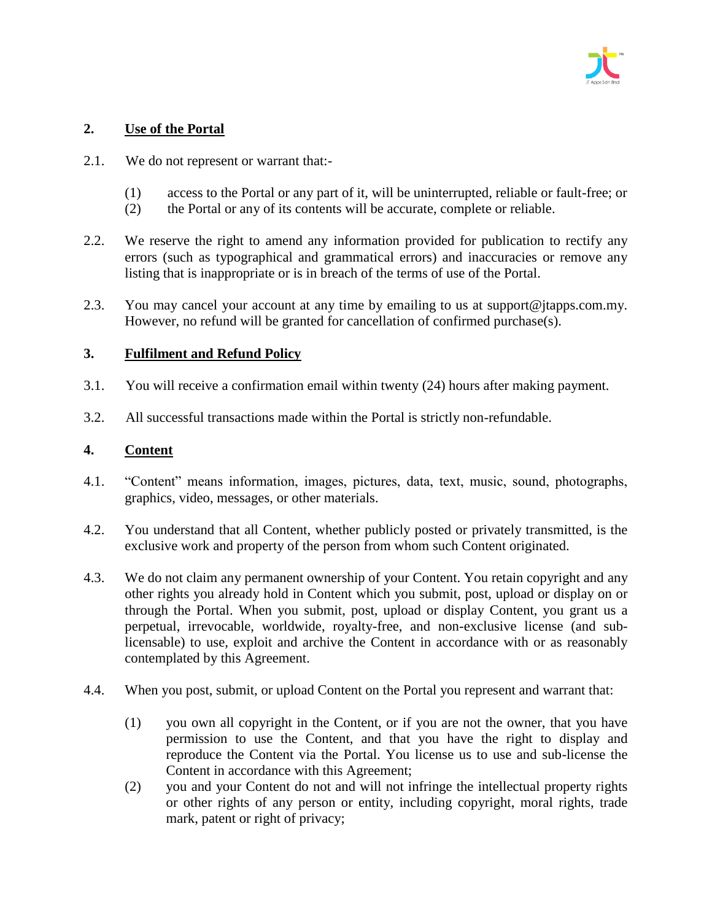

# **2. Use of the Portal**

- 2.1. We do not represent or warrant that:-
	- (1) access to the Portal or any part of it, will be uninterrupted, reliable or fault-free; or
	- (2) the Portal or any of its contents will be accurate, complete or reliable.
- 2.2. We reserve the right to amend any information provided for publication to rectify any errors (such as typographical and grammatical errors) and inaccuracies or remove any listing that is inappropriate or is in breach of the terms of use of the Portal.
- 2.3. You may cancel your account at any time by emailing to us at support@jtapps.com.my. However, no refund will be granted for cancellation of confirmed purchase(s).

# **3. Fulfilment and Refund Policy**

- 3.1. You will receive a confirmation email within twenty (24) hours after making payment.
- 3.2. All successful transactions made within the Portal is strictly non-refundable.

# **4. Content**

- 4.1. "Content" means information, images, pictures, data, text, music, sound, photographs, graphics, video, messages, or other materials.
- 4.2. You understand that all Content, whether publicly posted or privately transmitted, is the exclusive work and property of the person from whom such Content originated.
- 4.3. We do not claim any permanent ownership of your Content. You retain copyright and any other rights you already hold in Content which you submit, post, upload or display on or through the Portal. When you submit, post, upload or display Content, you grant us a perpetual, irrevocable, worldwide, royalty-free, and non-exclusive license (and sublicensable) to use, exploit and archive the Content in accordance with or as reasonably contemplated by this Agreement.
- 4.4. When you post, submit, or upload Content on the Portal you represent and warrant that:
	- (1) you own all copyright in the Content, or if you are not the owner, that you have permission to use the Content, and that you have the right to display and reproduce the Content via the Portal. You license us to use and sub-license the Content in accordance with this Agreement;
	- (2) you and your Content do not and will not infringe the intellectual property rights or other rights of any person or entity, including copyright, moral rights, trade mark, patent or right of privacy;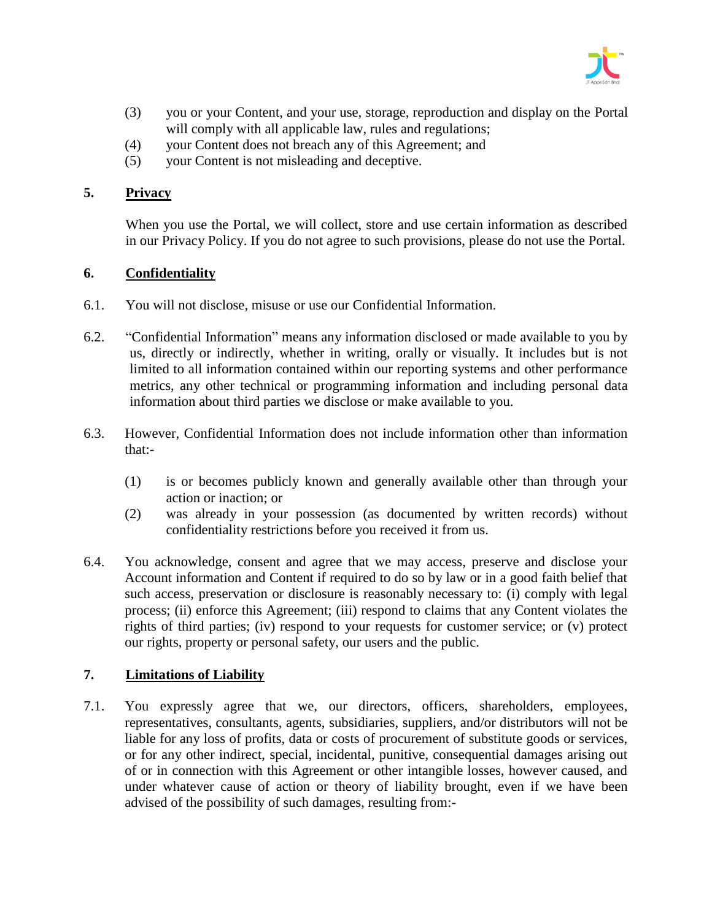

- (3) you or your Content, and your use, storage, reproduction and display on the Portal will comply with all applicable law, rules and regulations;
- (4) your Content does not breach any of this Agreement; and
- (5) your Content is not misleading and deceptive.

# **5. Privacy**

When you use the Portal, we will collect, store and use certain information as described in our Privacy Policy. If you do not agree to such provisions, please do not use the Portal.

# **6. Confidentiality**

- 6.1. You will not disclose, misuse or use our Confidential Information.
- 6.2. "Confidential Information" means any information disclosed or made available to you by us, directly or indirectly, whether in writing, orally or visually. It includes but is not limited to all information contained within our reporting systems and other performance metrics, any other technical or programming information and including personal data information about third parties we disclose or make available to you.
- 6.3. However, Confidential Information does not include information other than information that:-
	- (1) is or becomes publicly known and generally available other than through your action or inaction; or
	- (2) was already in your possession (as documented by written records) without confidentiality restrictions before you received it from us.
- 6.4. You acknowledge, consent and agree that we may access, preserve and disclose your Account information and Content if required to do so by law or in a good faith belief that such access, preservation or disclosure is reasonably necessary to: (i) comply with legal process; (ii) enforce this Agreement; (iii) respond to claims that any Content violates the rights of third parties; (iv) respond to your requests for customer service; or (v) protect our rights, property or personal safety, our users and the public.

# **7. Limitations of Liability**

7.1. You expressly agree that we, our directors, officers, shareholders, employees, representatives, consultants, agents, subsidiaries, suppliers, and/or distributors will not be liable for any loss of profits, data or costs of procurement of substitute goods or services, or for any other indirect, special, incidental, punitive, consequential damages arising out of or in connection with this Agreement or other intangible losses, however caused, and under whatever cause of action or theory of liability brought, even if we have been advised of the possibility of such damages, resulting from:-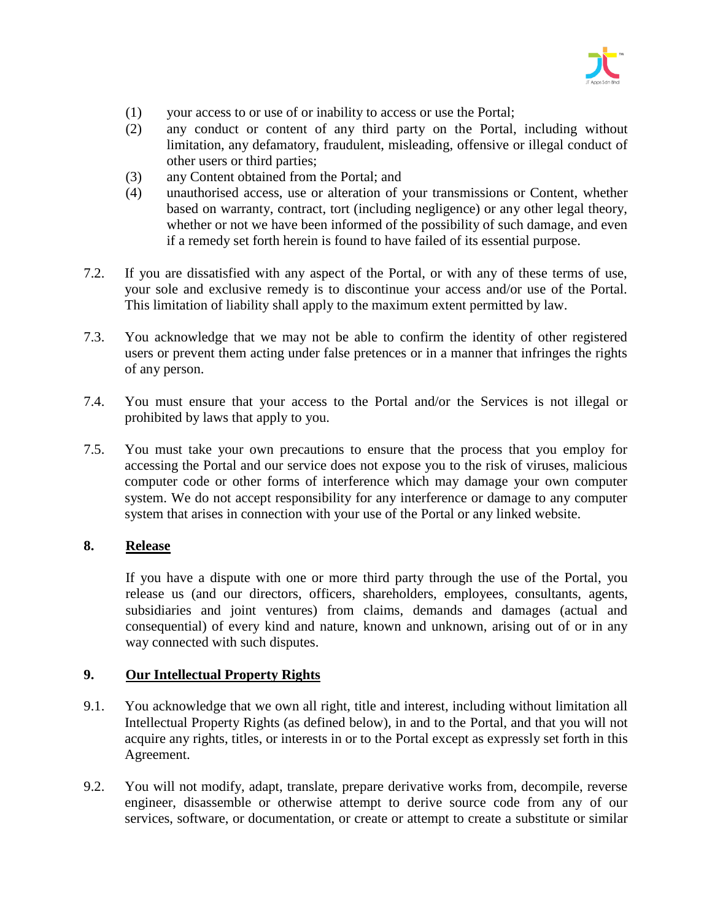

- (1) your access to or use of or inability to access or use the Portal;
- (2) any conduct or content of any third party on the Portal, including without limitation, any defamatory, fraudulent, misleading, offensive or illegal conduct of other users or third parties;
- (3) any Content obtained from the Portal; and
- (4) unauthorised access, use or alteration of your transmissions or Content, whether based on warranty, contract, tort (including negligence) or any other legal theory, whether or not we have been informed of the possibility of such damage, and even if a remedy set forth herein is found to have failed of its essential purpose.
- 7.2. If you are dissatisfied with any aspect of the Portal, or with any of these terms of use, your sole and exclusive remedy is to discontinue your access and/or use of the Portal. This limitation of liability shall apply to the maximum extent permitted by law.
- 7.3. You acknowledge that we may not be able to confirm the identity of other registered users or prevent them acting under false pretences or in a manner that infringes the rights of any person.
- 7.4. You must ensure that your access to the Portal and/or the Services is not illegal or prohibited by laws that apply to you.
- 7.5. You must take your own precautions to ensure that the process that you employ for accessing the Portal and our service does not expose you to the risk of viruses, malicious computer code or other forms of interference which may damage your own computer system. We do not accept responsibility for any interference or damage to any computer system that arises in connection with your use of the Portal or any linked website.

# **8. Release**

If you have a dispute with one or more third party through the use of the Portal, you release us (and our directors, officers, shareholders, employees, consultants, agents, subsidiaries and joint ventures) from claims, demands and damages (actual and consequential) of every kind and nature, known and unknown, arising out of or in any way connected with such disputes.

#### **9. Our Intellectual Property Rights**

- 9.1. You acknowledge that we own all right, title and interest, including without limitation all Intellectual Property Rights (as defined below), in and to the Portal, and that you will not acquire any rights, titles, or interests in or to the Portal except as expressly set forth in this Agreement.
- 9.2. You will not modify, adapt, translate, prepare derivative works from, decompile, reverse engineer, disassemble or otherwise attempt to derive source code from any of our services, software, or documentation, or create or attempt to create a substitute or similar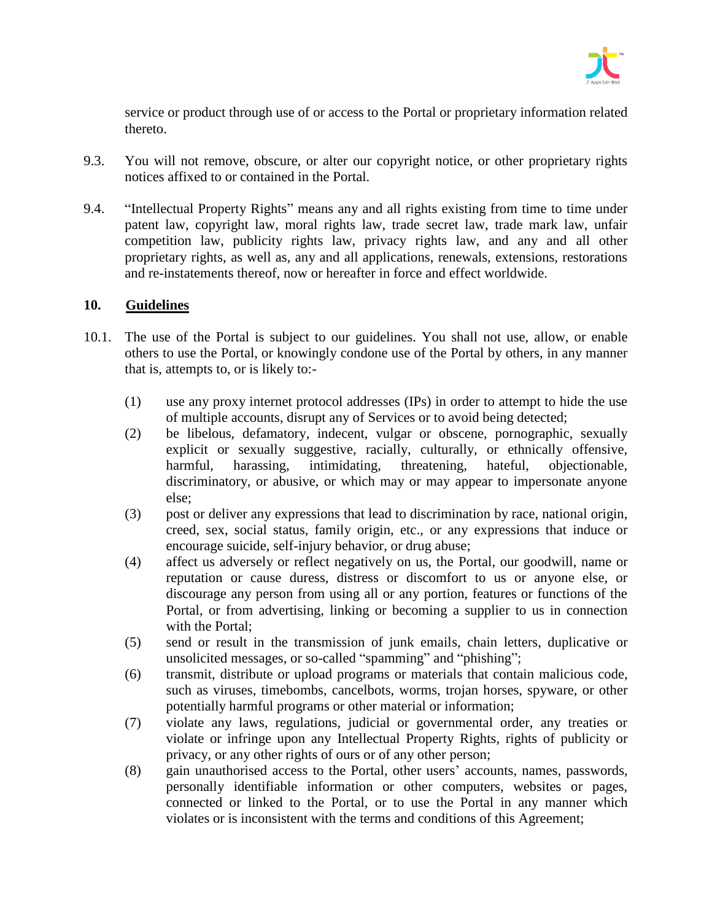

service or product through use of or access to the Portal or proprietary information related thereto.

- 9.3. You will not remove, obscure, or alter our copyright notice, or other proprietary rights notices affixed to or contained in the Portal.
- 9.4. "Intellectual Property Rights" means any and all rights existing from time to time under patent law, copyright law, moral rights law, trade secret law, trade mark law, unfair competition law, publicity rights law, privacy rights law, and any and all other proprietary rights, as well as, any and all applications, renewals, extensions, restorations and re-instatements thereof, now or hereafter in force and effect worldwide.

#### **10. Guidelines**

- 10.1. The use of the Portal is subject to our guidelines. You shall not use, allow, or enable others to use the Portal, or knowingly condone use of the Portal by others, in any manner that is, attempts to, or is likely to:-
	- (1) use any proxy internet protocol addresses (IPs) in order to attempt to hide the use of multiple accounts, disrupt any of Services or to avoid being detected;
	- (2) be libelous, defamatory, indecent, vulgar or obscene, pornographic, sexually explicit or sexually suggestive, racially, culturally, or ethnically offensive, harmful, harassing, intimidating, threatening, hateful, objectionable, discriminatory, or abusive, or which may or may appear to impersonate anyone else;
	- (3) post or deliver any expressions that lead to discrimination by race, national origin, creed, sex, social status, family origin, etc., or any expressions that induce or encourage suicide, self-injury behavior, or drug abuse;
	- (4) affect us adversely or reflect negatively on us, the Portal, our goodwill, name or reputation or cause duress, distress or discomfort to us or anyone else, or discourage any person from using all or any portion, features or functions of the Portal, or from advertising, linking or becoming a supplier to us in connection with the Portal;
	- (5) send or result in the transmission of junk emails, chain letters, duplicative or unsolicited messages, or so-called "spamming" and "phishing";
	- (6) transmit, distribute or upload programs or materials that contain malicious code, such as viruses, timebombs, cancelbots, worms, trojan horses, spyware, or other potentially harmful programs or other material or information;
	- (7) violate any laws, regulations, judicial or governmental order, any treaties or violate or infringe upon any Intellectual Property Rights, rights of publicity or privacy, or any other rights of ours or of any other person;
	- (8) gain unauthorised access to the Portal, other users' accounts, names, passwords, personally identifiable information or other computers, websites or pages, connected or linked to the Portal, or to use the Portal in any manner which violates or is inconsistent with the terms and conditions of this Agreement;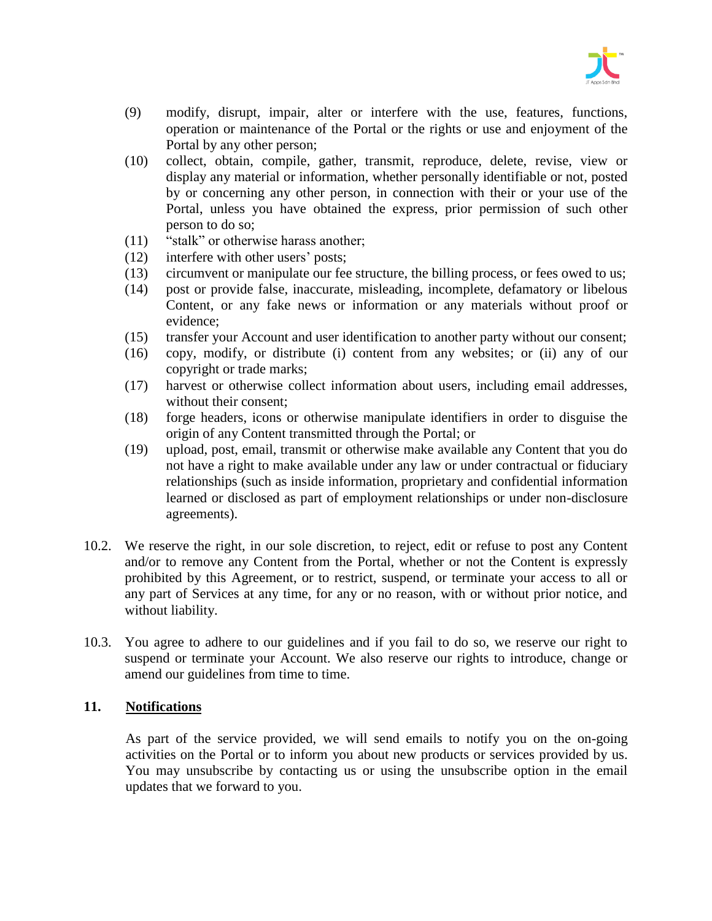

- (9) modify, disrupt, impair, alter or interfere with the use, features, functions, operation or maintenance of the Portal or the rights or use and enjoyment of the Portal by any other person;
- (10) collect, obtain, compile, gather, transmit, reproduce, delete, revise, view or display any material or information, whether personally identifiable or not, posted by or concerning any other person, in connection with their or your use of the Portal, unless you have obtained the express, prior permission of such other person to do so;
- (11) "stalk" or otherwise harass another;
- (12) interfere with other users' posts;
- (13) circumvent or manipulate our fee structure, the billing process, or fees owed to us;
- (14) post or provide false, inaccurate, misleading, incomplete, defamatory or libelous Content, or any fake news or information or any materials without proof or evidence;
- (15) transfer your Account and user identification to another party without our consent;
- (16) copy, modify, or distribute (i) content from any websites; or (ii) any of our copyright or trade marks;
- (17) harvest or otherwise collect information about users, including email addresses, without their consent;
- (18) forge headers, icons or otherwise manipulate identifiers in order to disguise the origin of any Content transmitted through the Portal; or
- (19) upload, post, email, transmit or otherwise make available any Content that you do not have a right to make available under any law or under contractual or fiduciary relationships (such as inside information, proprietary and confidential information learned or disclosed as part of employment relationships or under non-disclosure agreements).
- 10.2. We reserve the right, in our sole discretion, to reject, edit or refuse to post any Content and/or to remove any Content from the Portal, whether or not the Content is expressly prohibited by this Agreement, or to restrict, suspend, or terminate your access to all or any part of Services at any time, for any or no reason, with or without prior notice, and without liability.
- 10.3. You agree to adhere to our guidelines and if you fail to do so, we reserve our right to suspend or terminate your Account. We also reserve our rights to introduce, change or amend our guidelines from time to time.

#### **11. Notifications**

As part of the service provided, we will send emails to notify you on the on-going activities on the Portal or to inform you about new products or services provided by us. You may unsubscribe by contacting us or using the unsubscribe option in the email updates that we forward to you.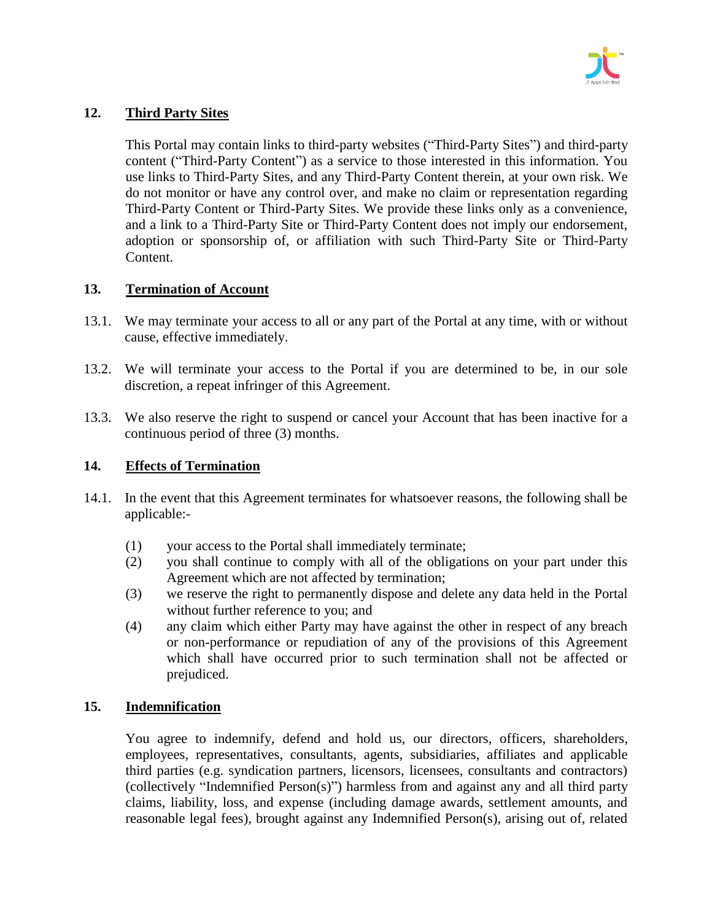

# **12. Third Party Sites**

This Portal may contain links to third-party websites ("Third-Party Sites") and third-party content ("Third-Party Content") as a service to those interested in this information. You use links to Third-Party Sites, and any Third-Party Content therein, at your own risk. We do not monitor or have any control over, and make no claim or representation regarding Third-Party Content or Third-Party Sites. We provide these links only as a convenience, and a link to a Third-Party Site or Third-Party Content does not imply our endorsement, adoption or sponsorship of, or affiliation with such Third-Party Site or Third-Party Content.

#### **13. Termination of Account**

- 13.1. We may terminate your access to all or any part of the Portal at any time, with or without cause, effective immediately.
- 13.2. We will terminate your access to the Portal if you are determined to be, in our sole discretion, a repeat infringer of this Agreement.
- 13.3. We also reserve the right to suspend or cancel your Account that has been inactive for a continuous period of three (3) months.

### **14. Effects of Termination**

- 14.1. In the event that this Agreement terminates for whatsoever reasons, the following shall be applicable:-
	- (1) your access to the Portal shall immediately terminate;
	- (2) you shall continue to comply with all of the obligations on your part under this Agreement which are not affected by termination;
	- (3) we reserve the right to permanently dispose and delete any data held in the Portal without further reference to you; and
	- (4) any claim which either Party may have against the other in respect of any breach or non-performance or repudiation of any of the provisions of this Agreement which shall have occurred prior to such termination shall not be affected or prejudiced.

#### **15. Indemnification**

You agree to indemnify, defend and hold us, our directors, officers, shareholders, employees, representatives, consultants, agents, subsidiaries, affiliates and applicable third parties (e.g. syndication partners, licensors, licensees, consultants and contractors) (collectively "Indemnified Person(s)") harmless from and against any and all third party claims, liability, loss, and expense (including damage awards, settlement amounts, and reasonable legal fees), brought against any Indemnified Person(s), arising out of, related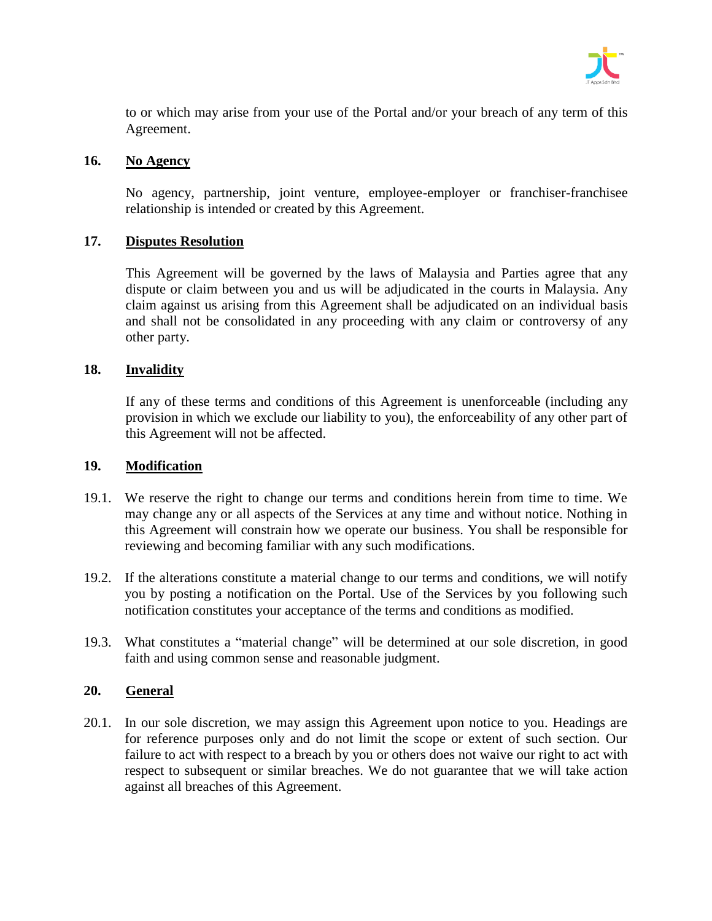

to or which may arise from your use of the Portal and/or your breach of any term of this Agreement.

### **16. No Agency**

No agency, partnership, joint venture, employee-employer or franchiser-franchisee relationship is intended or created by this Agreement.

# **17. Disputes Resolution**

This Agreement will be governed by the laws of Malaysia and Parties agree that any dispute or claim between you and us will be adjudicated in the courts in Malaysia. Any claim against us arising from this Agreement shall be adjudicated on an individual basis and shall not be consolidated in any proceeding with any claim or controversy of any other party.

# **18. Invalidity**

If any of these terms and conditions of this Agreement is unenforceable (including any provision in which we exclude our liability to you), the enforceability of any other part of this Agreement will not be affected.

### **19. Modification**

- 19.1. We reserve the right to change our terms and conditions herein from time to time. We may change any or all aspects of the Services at any time and without notice. Nothing in this Agreement will constrain how we operate our business. You shall be responsible for reviewing and becoming familiar with any such modifications.
- 19.2. If the alterations constitute a material change to our terms and conditions, we will notify you by posting a notification on the Portal. Use of the Services by you following such notification constitutes your acceptance of the terms and conditions as modified.
- 19.3. What constitutes a "material change" will be determined at our sole discretion, in good faith and using common sense and reasonable judgment.

# **20. General**

20.1. In our sole discretion, we may assign this Agreement upon notice to you. Headings are for reference purposes only and do not limit the scope or extent of such section. Our failure to act with respect to a breach by you or others does not waive our right to act with respect to subsequent or similar breaches. We do not guarantee that we will take action against all breaches of this Agreement.